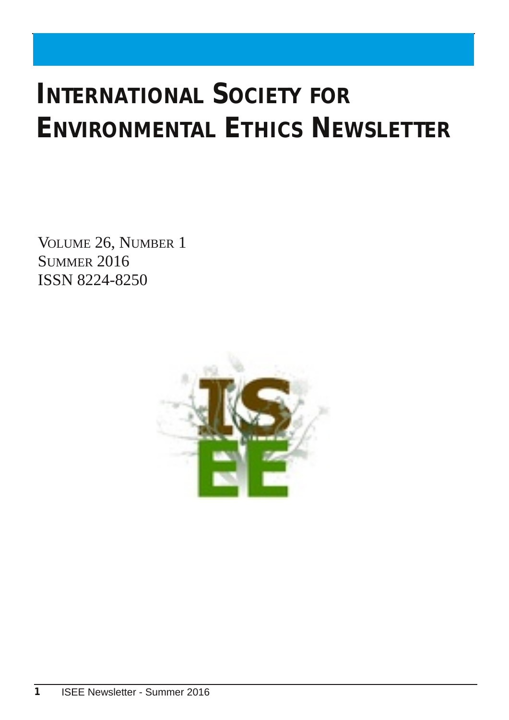# **INTERNATIONAL SOCIETY FOR ENVIRONMENTAL ETHICS NEWSLETTER**

VOLUME 26, NUMBER 1 **SUMMER 2016** ISSN 8224-8250

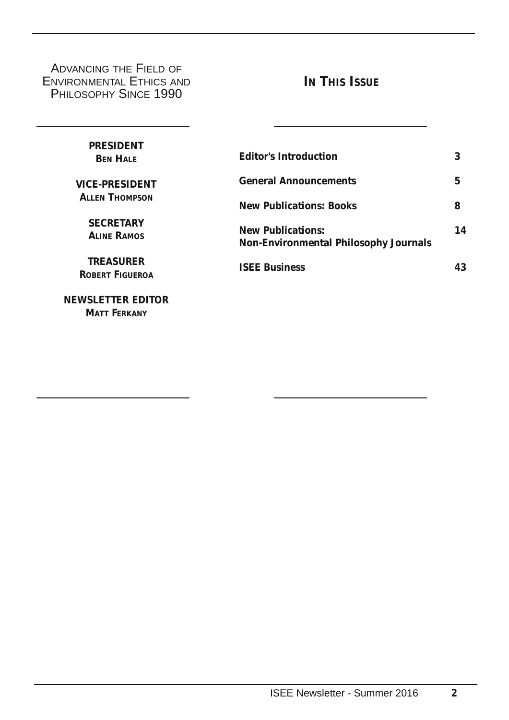## ADVANCING THE FIELD OF ENVIRONMENTAL ETHICS AND PHILOSOPHY SINCE 1990

**NEWSLETTER EDITOR MATT FERKANY**

## **IN THIS ISSUE**

| PRESIDENT<br><b>BEN HALE</b>            | Editor's Introduction                                      |    |
|-----------------------------------------|------------------------------------------------------------|----|
| VICE-PRESIDENT<br><b>ALLEN THOMPSON</b> | General Announcements                                      | h  |
|                                         | New Publications: Books                                    |    |
| <b>SECRETARY</b><br>ALINE RAMOS         | New Publications:<br>Non-Environmental Philosophy Journals | 14 |
| TREASURER<br>ROBERT FIGUEROA            | <b>ISEE Business</b>                                       | 43 |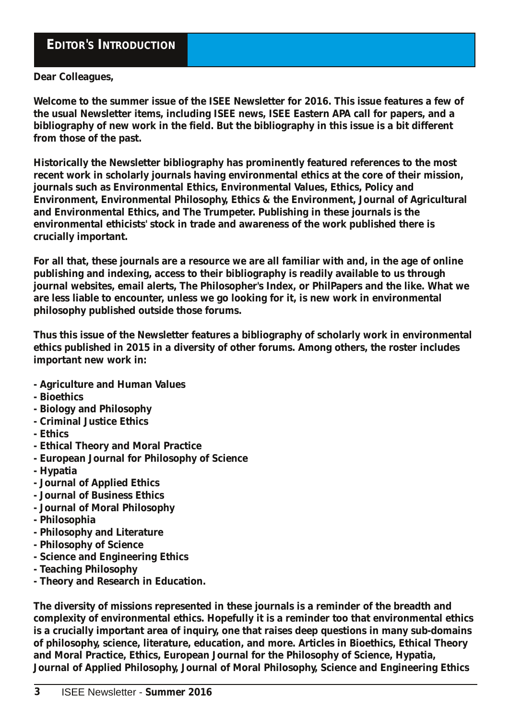#### **Dear Colleagues,**

**Welcome to the summer issue of the ISEE Newsletter for 2016. This issue features a few of the usual Newsletter items, including ISEE news, ISEE Eastern APA call for papers, and a bibliography of new work in the field. But the bibliography in this issue is a bit different from those of the past.**

**Historically the Newsletter bibliography has prominently featured references to the most recent work in scholarly journals having environmental ethics at the core of their mission, journals such as Environmental Ethics, Environmental Values, Ethics, Policy and Environment, Environmental Philosophy, Ethics & the Environment, Journal of Agricultural and Environmental Ethics, and The Trumpeter. Publishing in these journals is the environmental ethicists' stock in trade and awareness of the work published there is crucially important.**

For all that, these journals are a resource we are all familiar with and, in the age of online **publishing and indexing, access to their bibliography is readily available to us through journal websites, email alerts, The Philosopher's Index, or PhilPapers and the like. What we are less liable to encounter, unless we go looking for it, is new work in environmental philosophy published outside those forums.**

**Thus this issue of the Newsletter features a bibliography of scholarly work in environmental ethics published in 2015 in a diversity of other forums. Among others, the roster includes important new work in:**

- **Agriculture and Human Values**
- **Bioethics**
- **Biology and Philosophy**
- **Criminal Justice Ethics**
- **Ethics**
- **Ethical Theory and Moral Practice**
- **European Journal for Philosophy of Science**
- **Hypatia**
- **Journal of Applied Ethics**
- **Journal of Business Ethics**
- **Journal of Moral Philosophy**
- **Philosophia**
- **Philosophy and Literature**
- **Philosophy of Science**
- **Science and Engineering Ethics**
- **Teaching Philosophy**
- **Theory and Research in Education.**

**The diversity of missions represented in these journals is a reminder of the breadth and complexity of environmental ethics. Hopefully it is a reminder too that environmental ethics is** a crucially important area of inquiry, one that raises deep questions in many sub-domains **of philosophy, science, literature, education, and more. Articles in Bioethics, Ethical Theory and Moral Practice, Ethics, European Journal for the Philosophy of Science, Hypatia, Journal of Applied Philosophy, Journal of Moral Philosophy, Science and Engineering Ethics**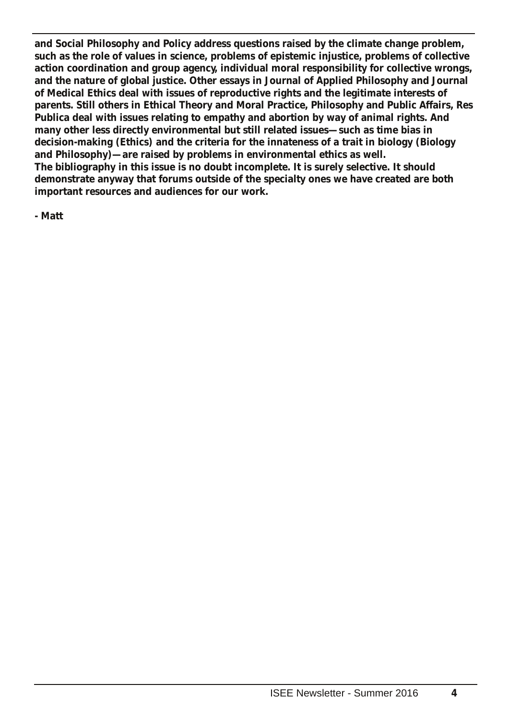**and Social Philosophy and Policy address questions raised by the climate change problem, such as the role of values in science, problems of epistemic injustice, problems of collective action coordination and group agency, individual moral responsibility for collective wrongs, and the nature of global justice. Other essays in Journal of Applied Philosophy and Journal of Medical Ethics deal with issues of reproductive rights and the legitimate interests of parents. Still others in Ethical Theory and Moral Practice, Philosophy and Public Affairs, Res Publica deal with issues relating to empathy and abortion by way of animal rights. And many other less directly environmental but still related issues—such as time bias in decisionmaking (Ethics) and the criteria for the innateness of a trait in biology (Biology and Philosophy)—are raised by problems in environmental ethics as well. The bibliography in this issue is no doubt incomplete. It is surely selective. It should demonstrate anyway that forums outside of the specialty ones we have created are both important resources and audiences for our work.**

**Matt**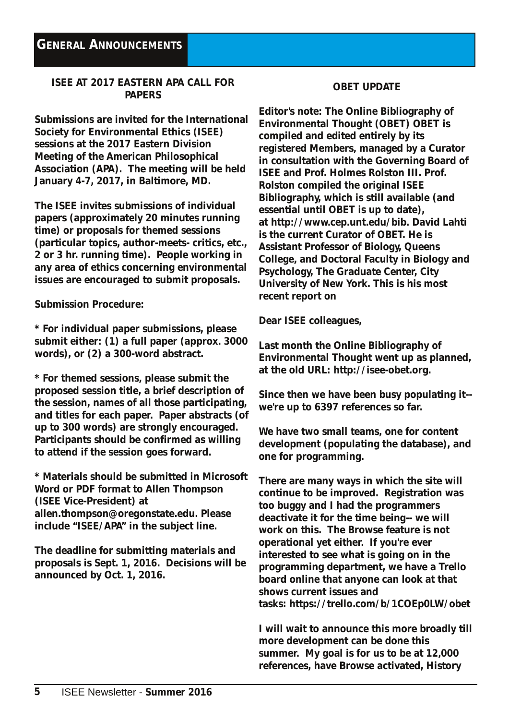## **ISEE AT 2017 EASTERN APA CALL FOR PAPERS**

**Submissions are invited for the International Society for Environmental Ethics (ISEE) sessions at the 2017 Eastern Division Meeting of the American Philosophical Association (APA). The meeting will be held January 47, 2017, in Baltimore, MD.**

**The ISEE invites submissions of individual papers (approximately 20 minutes running time) or proposals for themed sessions (particular topics, authormeets critics, etc., 2 or 3 hr. running time). People working in any area of ethics concerning environmental issues are encouraged to submit proposals.**

**Submission Procedure:**

**\* For individual paper submissions, please submit either: (1) a full paper (approx. 3000 words), or (2) a 300word abstract.**

**\* For themed sessions, please submit the proposed session title, a brief description of the session, names of all those participating, and titles for each paper. Paper abstracts (of up to 300 words) are strongly encouraged. Participants should be confirmed as willing to attend if the session goes forward.**

**\* Materials should be submitted in Microsoft Word or PDF format to Allen Thompson (ISEE VicePresident) at allen.thompson@oregonstate.edu. Please include "ISEE/APA" in the subject line.**

**The deadline for submitting materials and proposals is Sept. 1, 2016. Decisions will be announced by Oct. 1, 2016.**

## **OBET UPDATE**

**Editor's note: The Online Bibliography of Environmental Thought (OBET) OBET is compiled and edited entirely by its registered Members, managed by a Curator in consultation with the Governing Board of ISEE and Prof. Holmes Rolston III. Prof. Rolston compiled the original ISEE Bibliography, which is still available (and essential until OBET is up to date), at http://www.cep.unt.edu/bib. David Lahti is the current Curator of OBET. He is Assistant Professor of Biology, Queens College, and Doctoral Faculty in Biology and Psychology, The Graduate Center, City University of New York. This is his most recent report on**

**Dear ISEE colleagues,**

**Last month the Online Bibliography of Environmental Thought went up as planned, at the old URL: http://iseeobet.org.**

**Since then we have been busy populating it we're up to 6397 references so far.**

**We have two small teams, one for content development (populating the database), and one for programming.**

**There are many ways in which the site will continue to be improved. Registration was too buggy and I had the programmers deactivate it for the time being we will work on this. The Browse feature is not operational yet either. If you're ever interested to see what is going on in the programming department, we have a Trello board online that anyone can look at that shows current issues and tasks: https://trello.com/b/1COEp0LW/obet**

**I will wait to announce this more broadly till more development can be done this summer. My goal is for us to be at 12,000 references, have Browse activated, History**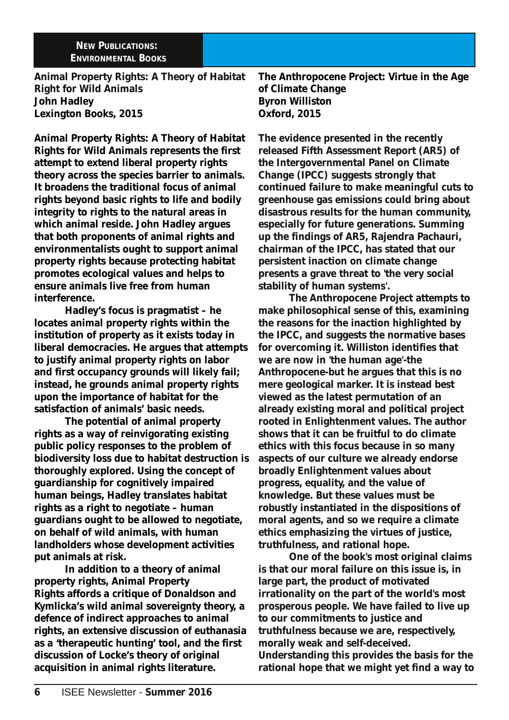**Animal Property Rights: A Theory of Habitat Right for Wild Animals John Hadley Lexington Books, 2015**

**Animal Property Rights: A Theory of Habitat Rights for Wild Animals represents the first attempt to extend liberal property rights theory across the species barrier to animals. It broadens the traditional focus of animal rights beyond basic rights to life and bodily integrity to rights to the natural areas in which animal reside. John Hadley argues that both proponents of animal rights and environmentalists ought to support animal property rights because protecting habitat promotes ecological values and helps to ensure animals live free from human interference.**

**Hadley's focus is pragmatist – he locates animal property rights within the institution of property as it exists today in liberal democracies. He argues that attempts to justify animal property rights on labor and first occupancy grounds will likely fail; instead, he grounds animal property rights upon the importance of habitat for the satisfaction of animals' basic needs.**

**The potential of animal property rights as a way of reinvigorating existing public policy responses to the problem of biodiversity loss due to habitat destruction is thoroughly explored. Using the concept of guardianship for cognitively impaired human beings, Hadley translates habitat rights as a right to negotiate – human guardians ought to be allowed to negotiate, on behalf of wild animals, with human landholders whose development activities put animals at risk.**

**In addition to a theory of animal property rights, Animal Property Rights affords a critique of Donaldson and Kymlicka's wild animal sovereignty theory, a defence of indirect approaches to animal rights, an extensive discussion of euthanasia as a 'therapeutic hunting' tool, and the first discussion of Locke's theory of original acquisition in animal rights literature.**

**The Anthropocene Project: Virtue in the Age of Climate Change Byron Williston Oxford, 2015**

**The evidence presented in the recently released Fifth Assessment Report (AR5) of the Intergovernmental Panel on Climate Change (IPCC) suggests strongly that continued failure to make meaningful cuts to greenhouse gas emissions could bring about disastrous results for the human community, especially for future generations. Summing up the findings of AR5, Rajendra Pachauri, chairman of the IPCC, has stated that our persistent inaction on climate change presents a grave threat to 'the very social stability of human systems'.**

**The Anthropocene Project attempts to make philosophical sense of this, examining the reasons for the inaction highlighted by the IPCC, and suggests the normative bases for overcoming it. Williston identifies that we are now in 'the human age'the Anthropocenebut he argues that this is no mere geological marker. It is instead best viewed as the latest permutation of an already existing moral and political project rooted in Enlightenment values. The author shows that it can be fruitful to do climate ethics with this focus because in so many aspects of our culture we already endorse broadly Enlightenment values about progress, equality, and the value of knowledge. But these values must be robustly instantiated in the dispositions of moral agents, and so we require a climate ethics emphasizing the virtues of justice, truthfulness, and rational hope.**

**One of the book's most original claims is that our moral failure on this issue is, in large part, the product of motivated irrationality on the part of the world's most prosperous people. We have failed to live up to our commitments to justice and truthfulness because we are, respectively, morally** weak and self-deceived. **Understanding this provides the basis for the rational hope that we might yet find a way to**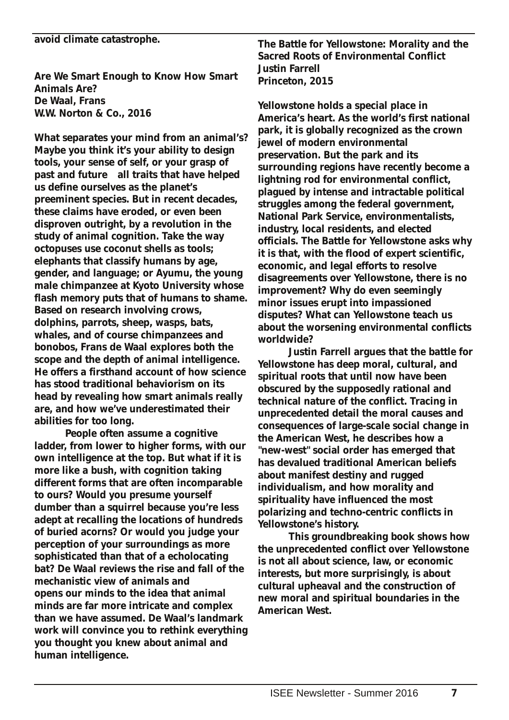#### **avoid climate catastrophe.**

**Are We Smart Enough to Know How Smart Animals Are? De Waal, Frans W.W. Norton & Co., 2016**

**What separates your mind from an animal's? Maybe you think it's your ability to design tools, your sense of self, or your grasp of past and future all traits that have helped us define ourselves as the planet's preeminent species. But in recent decades, these claims have eroded, or even been disproven outright, by a revolution in the study of animal cognition. Take the way octopuses use coconut shells as tools; elephants that classify humans by age, gender, and language; or Ayumu, the young male chimpanzee at Kyoto University whose flash memory puts that of humans to shame. Based on research involving crows, dolphins, parrots, sheep, wasps, bats, whales, and of course chimpanzees and bonobos, Frans de Waal explores both the scope and the depth of animal intelligence. He offers a firsthand account of how science has stood traditional behaviorism on its head by revealing how smart animals really are, and how we've underestimated their abilities for too long.**

**People often assume a cognitive ladder, from lower to higher forms, with our own intelligence at the top. But what if it is more like a bush, with cognition taking different forms that are often incomparable to ours? Would you presume yourself dumber than a squirrel because you're less adept at recalling the locations of hundreds of buried acorns? Or would you judge your perception of your surroundings as more sophisticated than that of a echolocating bat? De Waal reviews the rise and fall of the mechanistic view of animals and opens our minds to the idea that animal minds are far more intricate and complex than we have assumed. De Waal's landmark work will convince you to rethink everything you thought you knew about animal and human intelligence.**

**The Battle for Yellowstone: Morality and the Sacred Roots of Environmental Conflict Justin Farrell Princeton, 2015**

**Yellowstone holds a special place in America's heart. As the world's first national park, it is globally recognized as the crown jewel of modern environmental preservation. But the park and its surrounding regions have recently become a lightning rod for environmental conflict, plagued by intense and intractable political struggles among the federal government, National Park Service, environmentalists, industry, local residents, and elected officials. The Battle for Yellowstone asks why it is that, with the flood of expert scientific, economic, and legal efforts to resolve disagreements over Yellowstone, there is no improvement? Why do even seemingly minor issues erupt into impassioned disputes? What can Yellowstone teach us about the worsening environmental conflicts worldwide?**

**Justin Farrell argues that the battle for Yellowstone has deep moral, cultural, and spiritual roots that until now have been obscured by the supposedly rational and technical nature of the conflict. Tracing in unprecedented detail the moral causes and consequences of largescale social change in the American West, he describes how a "newwest" social order has emerged that has devalued traditional American beliefs about manifest destiny and rugged individualism, and how morality and spirituality have influenced the most polarizing and technocentric conflicts in Yellowstone's history.**

**This groundbreaking book shows how the unprecedented conflict over Yellowstone is not all about science, law, or economic interests, but more surprisingly, is about cultural upheaval and the construction of new moral and spiritual boundaries in the American West.**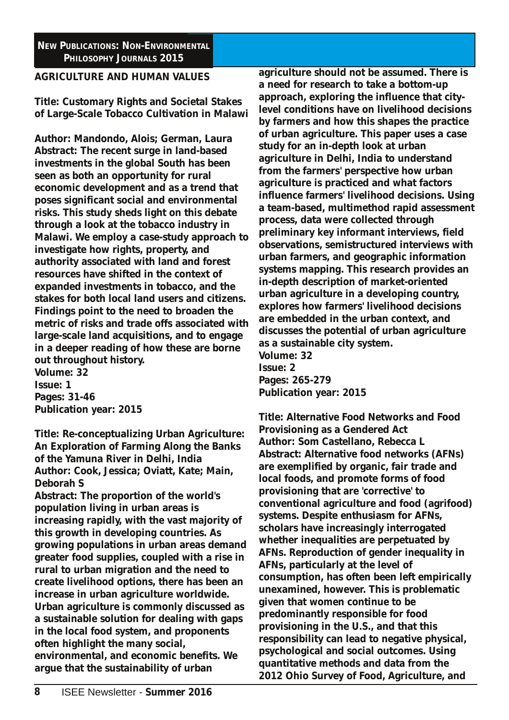## **AGRICULTURE AND HUMAN VALUES**

**Title: Customary Rights and Societal Stakes of LargeScale Tobacco Cultivation in Malawi**

**Author: Mandondo, Alois; German, Laura** Abstract: The recent surge in land-based **investments in the global South has been seen as both an opportunity for rural economic development and as a trend that poses significant social and environmental risks. This study sheds light on this debate through a look at the tobacco industry in Malawi. We employ a casestudy approach to investigate how rights, property, and authority associated with land and forest resources have shifted in the context of expanded investments in tobacco, and the stakes for both local land users and citizens. Findings point to the need to broaden the metric of risks and trade offs associated with largescale land acquisitions, and to engage in a deeper reading of how these are borne out throughout history. Volume: 32 Issue: 1**

**Pages: 3146 Publication year: 2015**

**Title: Reconceptualizing Urban Agriculture: An Exploration of Farming Along the Banks of the Yamuna River in Delhi, India Author: Cook, Jessica; Oviatt, Kate; Main, Deborah S**

**Abstract: The proportion of the world's population living in urban areas is increasing rapidly, with the vast majority of this growth in developing countries. As growing populations in urban areas demand greater food supplies, coupled with a rise in rural to urban migration and the need to create livelihood options, there has been an increase in urban agriculture worldwide. Urban agriculture is commonly discussed as a sustainable solution for dealing with gaps in the local food system, and proponents often highlight the many social, environmental, and economic benefits. We argue that the sustainability of urban**

**agriculture should not be assumed. There is a need for research to take a bottomup approach, exploring the influence that citylevel conditions have on livelihood decisions by farmers and how this shapes the practice of urban agriculture. This paper uses a case study for an indepth look at urban agriculture in Delhi, India to understand from the farmers' perspective how urban agriculture is practiced and what factors influence farmers' livelihood decisions. Using a teambased, multimethod rapid assessment process, data were collected through preliminary key informant interviews, field observations, semistructured interviews with urban farmers, and geographic information systems mapping. This research provides an in-depth description of market-oriented urban agriculture in a developing country, explores how farmers' livelihood decisions are embedded in the urban context, and discusses the potential of urban agriculture as a sustainable city system. Volume: 32 Issue: 2** Pages: 265-279

**Publication year: 2015**

**Title: Alternative Food Networks and Food Provisioning as a Gendered Act Author: Som Castellano, Rebecca L Abstract: Alternative food networks (AFNs) are exemplified by organic, fair trade and local foods, and promote forms of food provisioning that are 'corrective' to conventional agriculture and food (agrifood) systems. Despite enthusiasm for AFNs, scholars have increasingly interrogated whether inequalities are perpetuated by AFNs. Reproduction of gender inequality in AFNs, particularly at the level of consumption, has often been left empirically unexamined, however. This is problematic given that women continue to be predominantly responsible for food provisioning in the U.S., and that this responsibility can lead to negative physical, psychological and social outcomes. Using quantitative methods and data from the 2012 Ohio Survey of Food, Agriculture, and**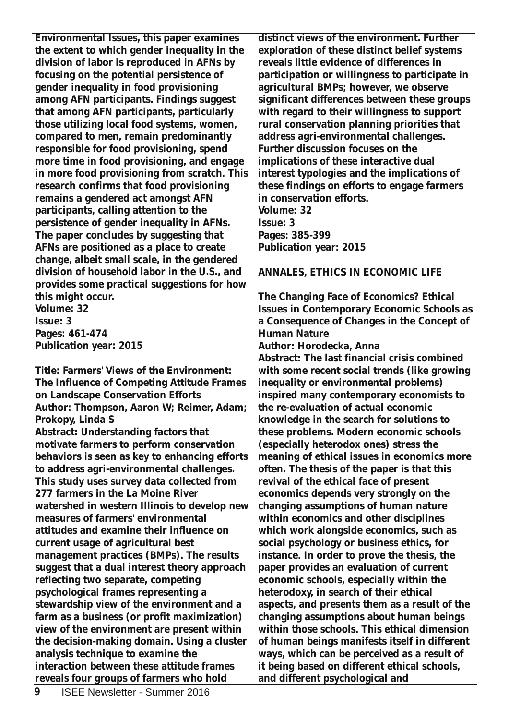**Environmental Issues, this paper examines the extent to which gender inequality in the division of labor is reproduced in AFNs by focusing on the potential persistence of gender inequality in food provisioning among AFN participants. Findings suggest that among AFN participants, particularly those utilizing local food systems, women, compared to men, remain predominantly responsible for food provisioning, spend more time in food provisioning, and engage in more food provisioning from scratch. This research confirms that food provisioning remains a gendered act amongst AFN participants, calling attention to the persistence of gender inequality in AFNs. The paper concludes by suggesting that AFNs are positioned as a place to create change, albeit small scale, in the gendered division of household labor in the U.S., and provides some practical suggestions for how this might occur. Volume: 32**

**Issue: 3** Pages: 461-474 **Publication year: 2015**

**Title: Farmers' Views of the Environment: The Influence of Competing Attitude Frames on Landscape Conservation Efforts Author: Thompson, Aaron W; Reimer, Adam; Prokopy, Linda S**

**Abstract: Understanding factors that motivate farmers to perform conservation behaviors is seen as key to enhancing efforts**  $to$  **address agri-environmental challenges**. **This study uses survey data collected from 277 farmers in the La Moine River watershed in western Illinois to develop new measures of farmers' environmental attitudes and examine their influence on current usage of agricultural best management practices (BMPs). The results suggest that a dual interest theory approach reflecting two separate, competing psychological frames representing a stewardship view of the environment and a farm as a business (or profit maximization) view of the environment are present within the** decision-making domain. Using a cluster **analysis technique to examine the interaction between these attitude frames reveals four groups of farmers who hold**

**distinct views of the environment. Further exploration of these distinct belief systems reveals little evidence of differences in participation or willingness to participate in agricultural BMPs; however, we observe significant differences between these groups with regard to their willingness to support rural conservation planning priorities that**  $address$  *agri-environmental challenges.* **Further discussion focuses on the implications of these interactive dual interest typologies and the implications of these findings on efforts to engage farmers in conservation efforts. Volume: 32 Issue: 3 Pages: 385399 Publication year: 2015**

## **ANNALES, ETHICS IN ECONOMIC LIFE**

**The Changing Face of Economics? Ethical Issues in Contemporary Economic Schools as a Consequence of Changes in the Concept of Human Nature Author: Horodecka, Anna Abstract: The last financial crisis combined with some recent social trends (like growing inequality or environmental problems) inspired many contemporary economists to the reevaluation of actual economic knowledge in the search for solutions to these problems. Modern economic schools (especially heterodox ones) stress the meaning of ethical issues in economics more often. The thesis of the paper is that this revival of the ethical face of present economics depends very strongly on the changing assumptions of human nature within economics and other disciplines which work alongside economics, such as social psychology or business ethics, for instance. In order to prove the thesis, the paper provides an evaluation of current economic schools, especially within the heterodoxy, in search of their ethical aspects, and presents them as a result of the changing assumptions about human beings within those schools. This ethical dimension of human beings manifests itself in different ways, which can be perceived as a result of it being based on different ethical schools, and different psychological and**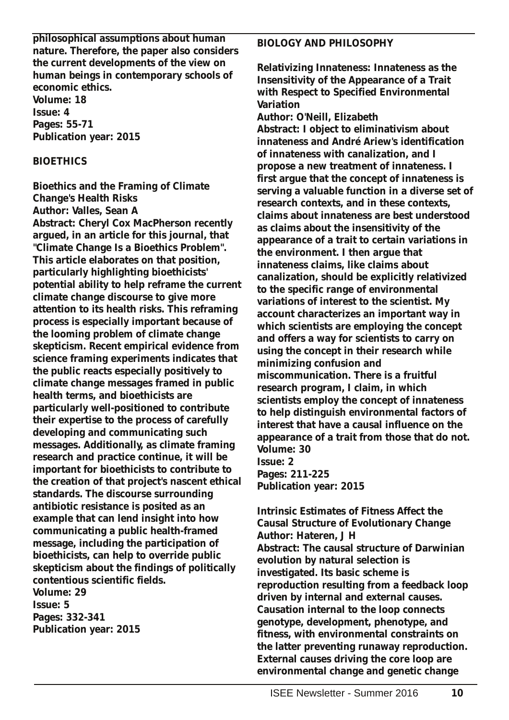**philosophical assumptions about human nature. Therefore, the paper also considers the current developments of the view on human beings in contemporary schools of economic ethics. Volume: 18 Issue: 4** Pages: 55-71 **Publication year: 2015**

## **BIOETHICS**

**Bioethics and the Framing of Climate Change's Health Risks Author: Valles, Sean A Abstract: Cheryl Cox MacPherson recently argued, in an article for this journal, that "Climate Change Is a Bioethics Problem". This article elaborates on that position, particularly highlighting bioethicists' potential ability to help reframe the current climate change discourse to give more attention to its health risks. This reframing process is especially important because of the looming problem of climate change skepticism. Recent empirical evidence from science framing experiments indicates that the public reacts especially positively to climate change messages framed in public health terms, and bioethicists are particularly wellpositioned to contribute their expertise to the process of carefully developing and communicating such messages. Additionally, as climate framing research and practice continue, it will be important for bioethicists to contribute to the creation of that project's nascent ethical standards. The discourse surrounding antibiotic resistance is posited as an example that can lend insight into how communicating** a public health-framed **message, including the participation of bioethicists, can help to override public skepticism about the findings of politically contentious scientific fields. Volume: 29**

**Issue: 5** Pages: 332-341 **Publication year: 2015**

## **BIOLOGY AND PHILOSOPHY**

**Relativizing Innateness: Innateness as the Insensitivity of the Appearance of a Trait with Respect to Specified Environmental Variation**

**Author: O'Neill, Elizabeth Abstract: I object to eliminativism about innateness and André Ariew's identification of innateness with canalization, and I propose a new treatment of innateness. I first argue that the concept of innateness is serving a valuable function in a diverse set of research contexts, and in these contexts, claims about innateness are best understood as claims about the insensitivity of the appearance of a trait to certain variations in the environment. I then argue that innateness claims, like claims about canalization, should be explicitly relativized to the specific range of environmental variations of interest to the scientist. My account characterizes an important way in which scientists are employing the concept and offers a way for scientists to carry on using the concept in their research while minimizing confusion and miscommunication. There is a fruitful research program, I claim, in which scientists employ the concept of innateness to help distinguish environmental factors of interest that have a causal influence on the appearance of a trait from those that do not. Volume: 30 Issue: 2 Pages: 211225 Publication year: 2015**

**Intrinsic Estimates of Fitness Affect the Causal Structure of Evolutionary Change Author: Hateren, J H Abstract: The causal structure of Darwinian evolution by natural selection is investigated. Its basic scheme is reproduction resulting from a feedback loop driven by internal and external causes. Causation internal to the loop connects genotype, development, phenotype, and fitness, with environmental constraints on the latter preventing runaway reproduction. External causes driving the core loop are environmental change and genetic change**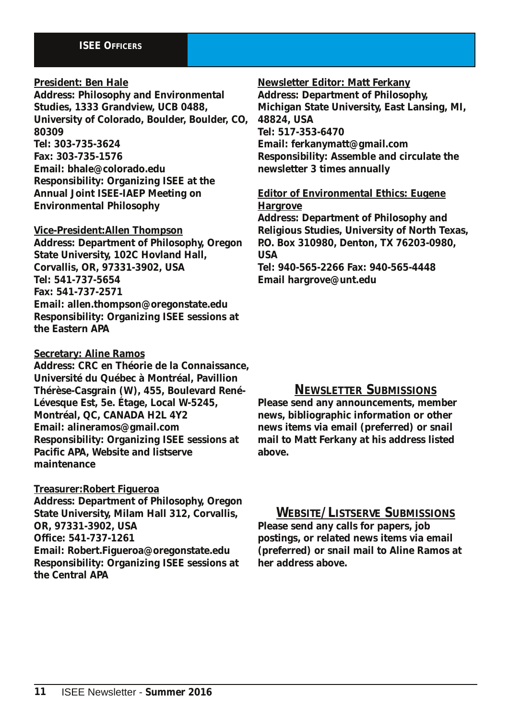#### **President: Ben Hale**

**Address: Philosophy and Environmental Studies, 1333 Grandview, UCB 0488, University of Colorado, Boulder, Boulder, CO, 80309 Tel: 3037353624 Fax: 3037351576 Email: bhale@colorado.edu Responsibility: Organizing ISEE at the Annual Joint ISEEIAEP Meeting on Environmental Philosophy**

#### **VicePresident:Allen Thompson**

**Address: Department of Philosophy, Oregon State University, 102C Hovland Hall, Corvallis, OR, 973313902, USA Tel: 5417375654 Fax: 5417372571 Email: allen.thompson@oregonstate.edu Responsibility: Organizing ISEE sessions at the Eastern APA**

#### **Secretary: Aline Ramos**

**Address: CRC en Théorie de la Connaissance, Université du Québec à Montréal, Pavillion** Thérèse-Casgrain (W), 455, Boulevard René-**Lévesque Est, 5e. Étage, Local W5245, Montréal, QC, CANADA H2L 4Y2 Email: alineramos@gmail.com Responsibility: Organizing ISEE sessions at Pacific APA, Website and listserve maintenance**

#### **Treasurer:Robert Figueroa**

**Address: Department of Philosophy, Oregon State University, Milam Hall 312, Corvallis, OR, 973313902, USA Office: 5417371261 Email: Robert.Figueroa@oregonstate.edu Responsibility: Organizing ISEE sessions at the Central APA**

#### **Newsletter Editor: Matt Ferkany**

**Address: Department of Philosophy, Michigan State University, East Lansing, MI, 48824, USA**

**Tel: 5173536470**

**Email: ferkanymatt@gmail.com Responsibility: Assemble and circulate the newsletter 3 times annually**

#### **Editor of Environmental Ethics: Eugene Hargrove**

**Address: Department of Philosophy and Religious Studies, University of North Texas, P.O.** Box 310980, Denton, TX 76203-0980, **USA**

**Tel: 9405652266 Fax: 9405654448 Email hargrove@unt.edu**

## **NEWSLETTER SUBMISSIONS**

**Please send any announcements, member news, bibliographic information or other news items via email (preferred) or snail mail to Matt Ferkany at his address listed above.**

## **WEBSITE/LISTSERVE SUBMISSIONS**

**Please send any calls for papers, job postings, or related news items via email (preferred) or snail mail to Aline Ramos at her address above.**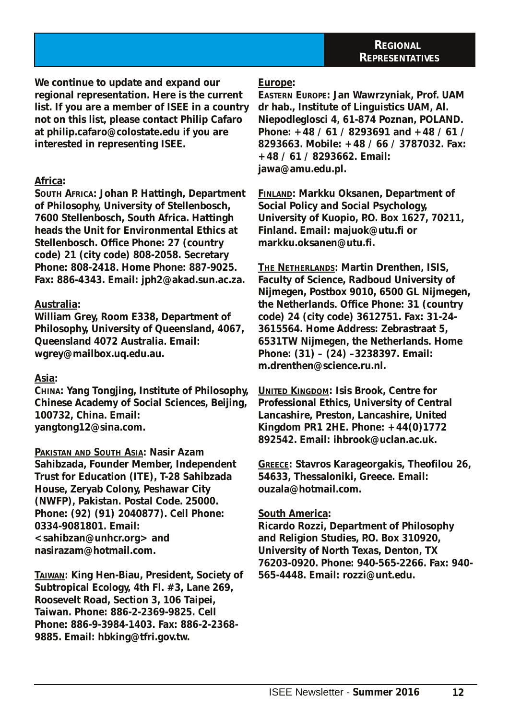**We continue to update and expand our regional representation. Here is the current list. If you are a member of ISEE in a country not on this list, please contact Philip Cafaro at philip.cafaro@colostate.edu if you are interested in representing ISEE.**

#### **Africa:**

**SOUTH AFRICA: Johan P. Hattingh, Department of Philosophy, University of Stellenbosch, 7600 Stellenbosch, South Africa. Hattingh heads the Unit for Environmental Ethics at Stellenbosch. Office Phone: 27 (country code) 21 (city code) 8082058. Secretary Phone: 8082418. Home Phone: 8879025. Fax: 8864343. Email: jph2@akad.sun.ac.za.**

#### **Australia:**

**William Grey, Room E338, Department of Philosophy, University of Queensland, 4067, Queensland 4072 Australia. Email: wgrey@mailbox.uq.edu.au.**

#### **Asia:**

**CHINA: Yang Tongjing, Institute of Philosophy, Chinese Academy of Social Sciences, Beijing, 100732, China. Email: yangtong12@sina.com.**

**PAKISTAN AND SOUTH ASIA: Nasir Azam Sahibzada, Founder Member, Independent Trust for Education (ITE), T28 Sahibzada House, Zeryab Colony, Peshawar City (NWFP), Pakistan. Postal Code. 25000. Phone: (92) (91) 2040877). Cell Phone: 03349081801. Email: <sahibzan@unhcr.org> and nasirazam@hotmail.com.**

**TAIWAN:** King Hen-Biau, President, Society of **Subtropical Ecology, 4th Fl. #3, Lane 269, Roosevelt Road, Section 3, 106 Taipei, Taiwan. Phone: 886223699825. Cell Phone: 886939841403. Fax: 88622368 9885. Email: hbking@tfri.gov.tw.**

#### **Europe:**

**EASTERN EUROPE: Jan Wawrzyniak, Prof. UAM dr hab., Institute of Linguistics UAM, Al. Niepodleglosci 4, 61874 Poznan, POLAND. Phone: +48 / 61 / 8293691 and +48 / 61 / 8293663. Mobile: +48 / 66 / 3787032. Fax: +48 / 61 / 8293662. Email: jawa@amu.edu.pl.**

**FINLAND: Markku Oksanen, Department of Social Policy and Social Psychology, University of Kuopio, P.O. Box 1627, 70211, Finland. Email: majuok@utu.fi or markku.oksanen@utu.fi.**

**THE NETHERLANDS: Martin Drenthen, ISIS, Faculty of Science, Radboud University of Nijmegen, Postbox 9010, 6500 GL Nijmegen, the Netherlands. Office Phone: 31 (country code) 24 (city code) 3612751. Fax: 3124 3615564. Home Address: Zebrastraat 5, 6531TW Nijmegen, the Netherlands. Home Phone: (31) – (24) –3238397. Email: m.drenthen@science.ru.nl.**

**UNITED KINGDOM: Isis Brook, Centre for Professional Ethics, University of Central Lancashire, Preston, Lancashire, United Kingdom PR1 2HE. Phone: +44(0)1772 892542. Email: ihbrook@uclan.ac.uk.**

**GREECE: Stavros Karageorgakis, Theofilou 26, 54633, Thessaloniki, Greece. Email: ouzala@hotmail.com.**

#### **South America:**

**Ricardo Rozzi, Department of Philosophy and Religion Studies, P.O. Box 310920, University of North Texas, Denton, TX 762030920. Phone: 9405652266. Fax: 940 5654448. Email: rozzi@unt.edu.**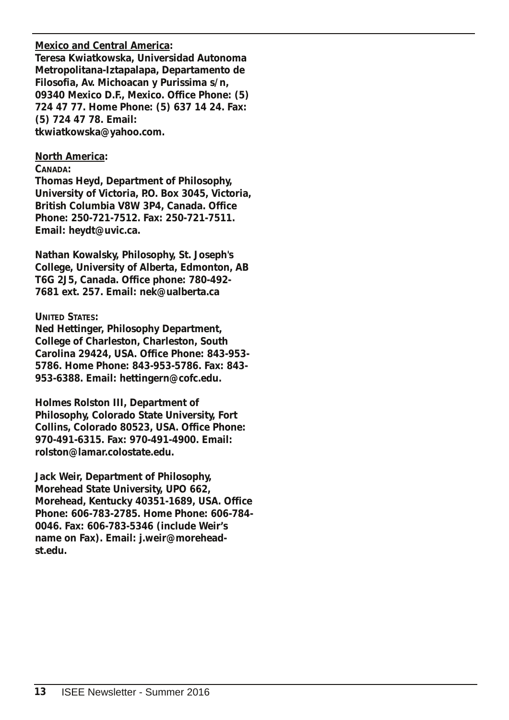#### **Mexico and Central America:**

**Teresa Kwiatkowska, Universidad Autonoma** Metropolitana-Iztapalapa, Departamento de **Filosofia, Av. Michoacan y Purissima s/n, 09340 Mexico D.F., Mexico. Office Phone: (5) 724 47 77. Home Phone: (5) 637 14 24. Fax: (5) 724 47 78. Email: tkwiatkowska@yahoo.com.**

#### **North America:**

**CANADA:**

**Thomas Heyd, Department of Philosophy, University of Victoria, P.O. Box 3045, Victoria, British Columbia V8W 3P4, Canada. Office Phone: 250-721-7512. Fax: 250-721-7511. Email: heydt@uvic.ca.**

**Nathan Kowalsky, Philosophy, St. Joseph's College, University of Alberta, Edmonton, AB T6G 2J5, Canada. Office phone: 780492 7681 ext. 257. Email: nek@ualberta.ca**

#### **UNITED STATES:**

**Ned Hettinger, Philosophy Department, College of Charleston, Charleston, South Carolina** 29424, USA. Office Phone: 843-953-**5786. Home Phone: 8439535786. Fax: 843 9536388. Email: hettingern@cofc.edu.**

**Holmes Rolston III, Department of Philosophy, Colorado State University, Fort Collins, Colorado 80523, USA. Office Phone: 9704916315. Fax: 9704914900. Email: rolston@lamar.colostate.edu.**

**Jack Weir, Department of Philosophy, Morehead State University, UPO 662, Morehead, Kentucky 40351-1689, USA.** Office **Phone: 6067832785. Home Phone: 606784 0046. Fax: 6067835346 (include Weir's name on Fax). Email: j.weir@moreheadst.edu.**